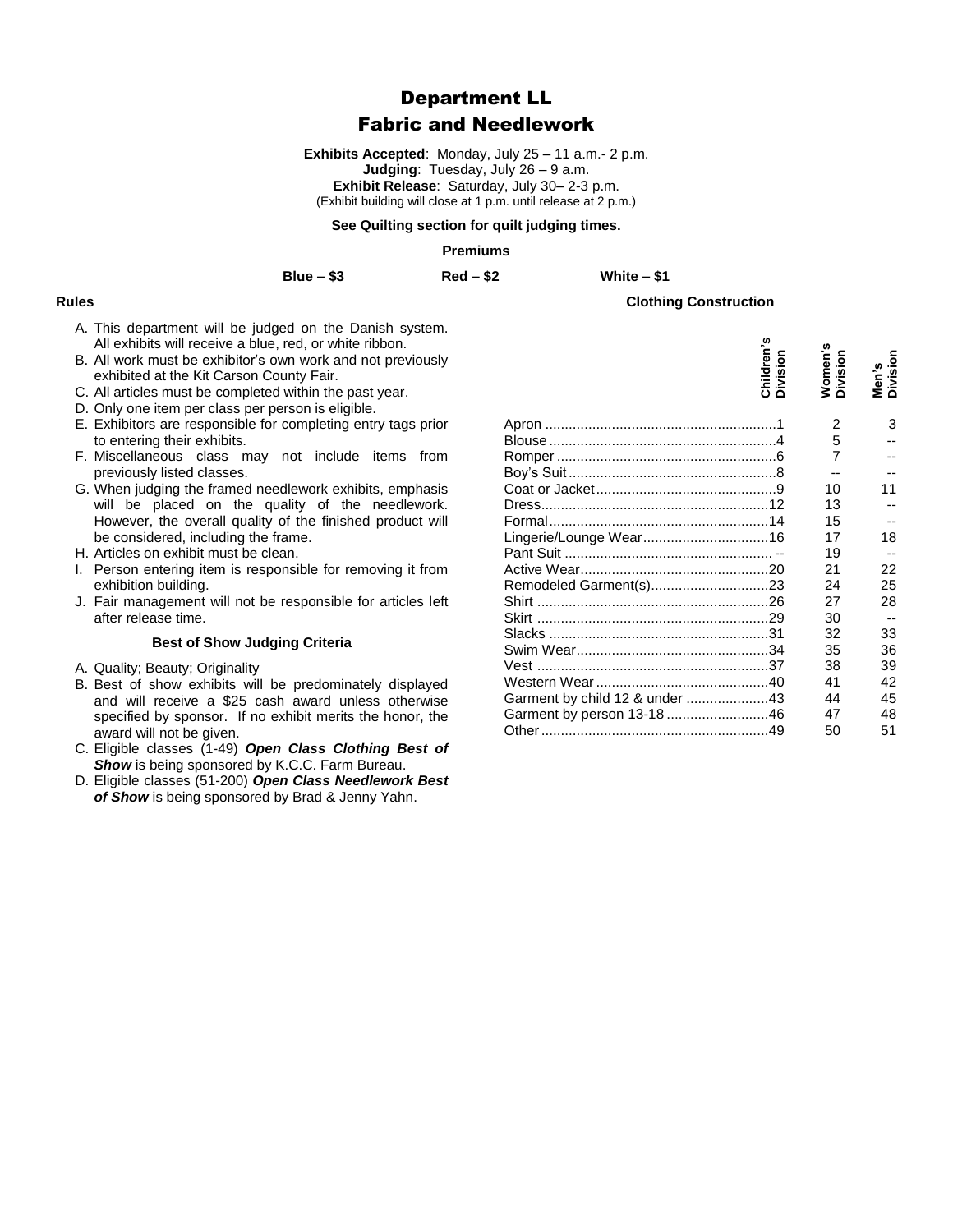# Department LL

## Fabric and Needlework

**Exhibits Accepted**: Monday, July 25 – 11 a.m.- 2 p.m. **Judging**: Tuesday, July 26 – 9 a.m. **Exhibit Release**: Saturday, July 30– 2-3 p.m. (Exhibit building will close at 1 p.m. until release at 2 p.m.)

#### **See Quilting section for quilt judging times.**

### **Premiums**

**Blue – \$3 Red – \$2 White – \$1**

## **Rules**

- A. This department will be judged on the Danish system. All exhibits will receive a blue, red, or white ribbon.
- B. All work must be exhibitor's own work and not previously exhibited at the Kit Carson County Fair.
- C. All articles must be completed within the past year.
- D. Only one item per class per person is eligible.
- E. Exhibitors are responsible for completing entry tags prior to entering their exhibits.
- F. Miscellaneous class may not include items from previously listed classes.
- G. When judging the framed needlework exhibits, emphasis will be placed on the quality of the needlework. However, the overall quality of the finished product will be considered, including the frame.
- H. Articles on exhibit must be clean.
- I. Person entering item is responsible for removing it from exhibition building.
- J. Fair management will not be responsible for articles left after release time.

#### **Best of Show Judging Criteria**

- A. Quality; Beauty; Originality
- B. Best of show exhibits will be predominately displayed and will receive a \$25 cash award unless otherwise specified by sponsor. If no exhibit merits the honor, the award will not be given.
- C. Eligible classes (1-49) *Open Class Clothing Best of*  **Show** is being sponsored by K.C.C. Farm Bureau.
- D. Eligible classes (51-200) *Open Class Needlework Best of Show* is being sponsored by Brad & Jenny Yahn.

|                                | Children's<br>Division | Women's<br>Division | Men's<br>Division |
|--------------------------------|------------------------|---------------------|-------------------|
|                                |                        | 2                   | 3                 |
|                                |                        | 5                   |                   |
|                                |                        | $\overline{7}$      |                   |
|                                |                        |                     |                   |
|                                |                        | 10                  | 11                |
|                                |                        | 13                  |                   |
|                                |                        | 15                  |                   |
|                                |                        | 17                  | 18                |
|                                |                        | 19                  |                   |
|                                |                        | 21                  | 22                |
| Remodeled Garment(s)23         |                        | 24                  | 25                |
|                                |                        | 27                  | 28                |
|                                |                        | 30                  |                   |
|                                |                        | 32                  | 33                |
|                                |                        | 35                  | 36                |
|                                |                        | 38                  | 39                |
|                                |                        | 41                  | 42                |
| Garment by child 12 & under 43 |                        | 44                  | 45                |
| Garment by person 13-1846      |                        | 47                  | 48                |
|                                |                        | 50                  | 51                |

**Clothing Construction**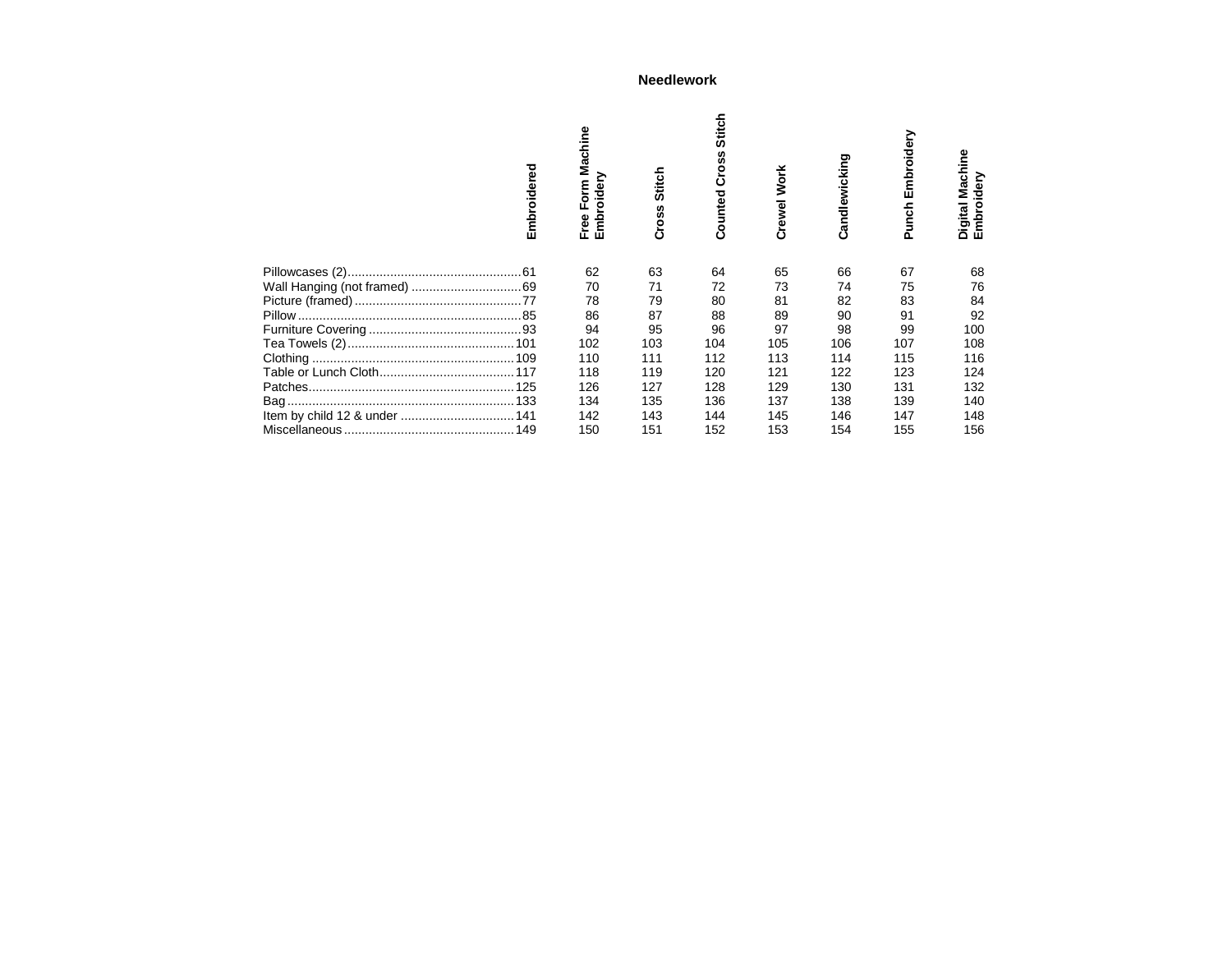## **Needlework**

| mbroidered<br>ய               | Machine<br>mbroidery<br>Form<br>Free<br>ш | Stitch<br>Cross | titch<br><b>ú</b><br>SS<br>ě<br>Ö<br>ounted<br>ت | <b>Work</b><br>Crewel | Candlewicking | Embroidery<br>Punch | Machine<br>mbroidery<br>Digital I<br>ш |
|-------------------------------|-------------------------------------------|-----------------|--------------------------------------------------|-----------------------|---------------|---------------------|----------------------------------------|
|                               | 62                                        | 63              | 64                                               | 65                    | 66            | 67                  | 68                                     |
|                               | 70                                        | 71              | 72                                               | 73                    | 74            | 75                  | 76                                     |
|                               | 78                                        | 79              | 80                                               | 81                    | 82            | 83                  | 84                                     |
| Pillow.                       | 86                                        | 87              | 88                                               | 89                    | 90            | 91                  | 92                                     |
|                               | 94                                        | 95              | 96                                               | 97                    | 98            | 99                  | 100                                    |
|                               | 102                                       | 103             | 104                                              | 105                   | 106           | 107                 | 108                                    |
|                               | 110                                       | 111             | 112                                              | 113                   | 114           | 115                 | 116                                    |
|                               | 118                                       | 119             | 120                                              | 121                   | 122           | 123                 | 124                                    |
|                               | 126                                       | 127             | 128                                              | 129                   | 130           | 131                 | 132                                    |
|                               | 134                                       | 135             | 136                                              | 137                   | 138           | 139                 | 140                                    |
| Item by child 12 & under  141 | 142                                       | 143             | 144                                              | 145                   | 146           | 147                 | 148                                    |
|                               | 150                                       | 151             | 152                                              | 153                   | 154           | 155                 | 156                                    |